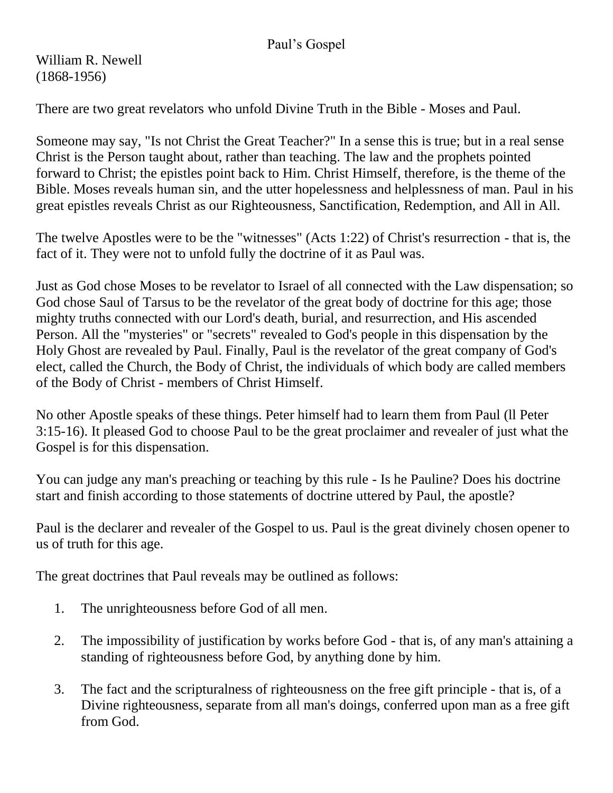## Paul's Gospel

William R. Newell (1868-1956)

There are two great revelators who unfold Divine Truth in the Bible - Moses and Paul.

Someone may say, "Is not Christ the Great Teacher?" In a sense this is true; but in a real sense Christ is the Person taught about, rather than teaching. The law and the prophets pointed forward to Christ; the epistles point back to Him. Christ Himself, therefore, is the theme of the Bible. Moses reveals human sin, and the utter hopelessness and helplessness of man. Paul in his great epistles reveals Christ as our Righteousness, Sanctification, Redemption, and All in All.

The twelve Apostles were to be the "witnesses" (Acts 1:22) of Christ's resurrection - that is, the fact of it. They were not to unfold fully the doctrine of it as Paul was.

Just as God chose Moses to be revelator to Israel of all connected with the Law dispensation; so God chose Saul of Tarsus to be the revelator of the great body of doctrine for this age; those mighty truths connected with our Lord's death, burial, and resurrection, and His ascended Person. All the "mysteries" or "secrets" revealed to God's people in this dispensation by the Holy Ghost are revealed by Paul. Finally, Paul is the revelator of the great company of God's elect, called the Church, the Body of Christ, the individuals of which body are called members of the Body of Christ - members of Christ Himself.

No other Apostle speaks of these things. Peter himself had to learn them from Paul (ll Peter 3:15-16). It pleased God to choose Paul to be the great proclaimer and revealer of just what the Gospel is for this dispensation.

You can judge any man's preaching or teaching by this rule - Is he Pauline? Does his doctrine start and finish according to those statements of doctrine uttered by Paul, the apostle?

Paul is the declarer and revealer of the Gospel to us. Paul is the great divinely chosen opener to us of truth for this age.

The great doctrines that Paul reveals may be outlined as follows:

- 1. The unrighteousness before God of all men.
- 2. The impossibility of justification by works before God that is, of any man's attaining a standing of righteousness before God, by anything done by him.
- 3. The fact and the scripturalness of righteousness on the free gift principle that is, of a Divine righteousness, separate from all man's doings, conferred upon man as a free gift from God.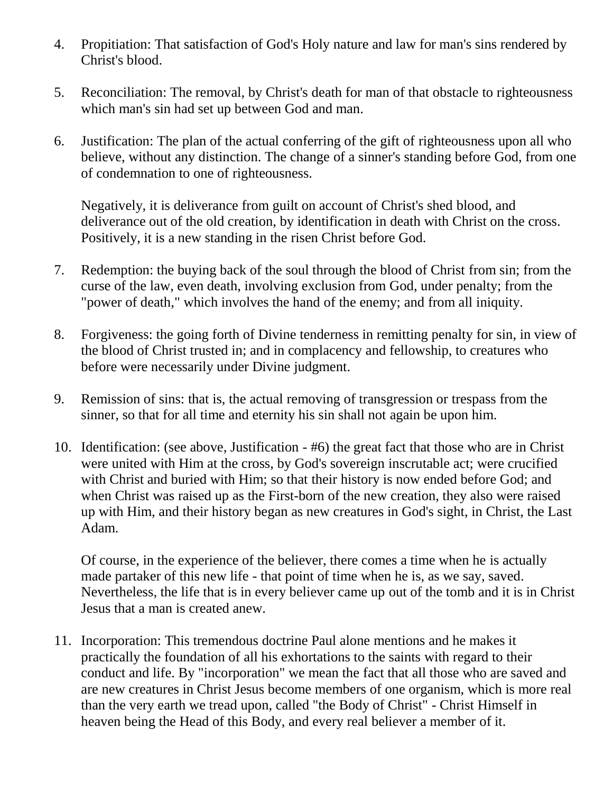- 4. Propitiation: That satisfaction of God's Holy nature and law for man's sins rendered by Christ's blood.
- 5. Reconciliation: The removal, by Christ's death for man of that obstacle to righteousness which man's sin had set up between God and man.
- 6. Justification: The plan of the actual conferring of the gift of righteousness upon all who believe, without any distinction. The change of a sinner's standing before God, from one of condemnation to one of righteousness.

Negatively, it is deliverance from guilt on account of Christ's shed blood, and deliverance out of the old creation, by identification in death with Christ on the cross. Positively, it is a new standing in the risen Christ before God.

- 7. Redemption: the buying back of the soul through the blood of Christ from sin; from the curse of the law, even death, involving exclusion from God, under penalty; from the "power of death," which involves the hand of the enemy; and from all iniquity.
- 8. Forgiveness: the going forth of Divine tenderness in remitting penalty for sin, in view of the blood of Christ trusted in; and in complacency and fellowship, to creatures who before were necessarily under Divine judgment.
- 9. Remission of sins: that is, the actual removing of transgression or trespass from the sinner, so that for all time and eternity his sin shall not again be upon him.
- 10. Identification: (see above, Justification #6) the great fact that those who are in Christ were united with Him at the cross, by God's sovereign inscrutable act; were crucified with Christ and buried with Him; so that their history is now ended before God; and when Christ was raised up as the First-born of the new creation, they also were raised up with Him, and their history began as new creatures in God's sight, in Christ, the Last Adam.

Of course, in the experience of the believer, there comes a time when he is actually made partaker of this new life - that point of time when he is, as we say, saved. Nevertheless, the life that is in every believer came up out of the tomb and it is in Christ Jesus that a man is created anew.

11. Incorporation: This tremendous doctrine Paul alone mentions and he makes it practically the foundation of all his exhortations to the saints with regard to their conduct and life. By "incorporation" we mean the fact that all those who are saved and are new creatures in Christ Jesus become members of one organism, which is more real than the very earth we tread upon, called "the Body of Christ" - Christ Himself in heaven being the Head of this Body, and every real believer a member of it.